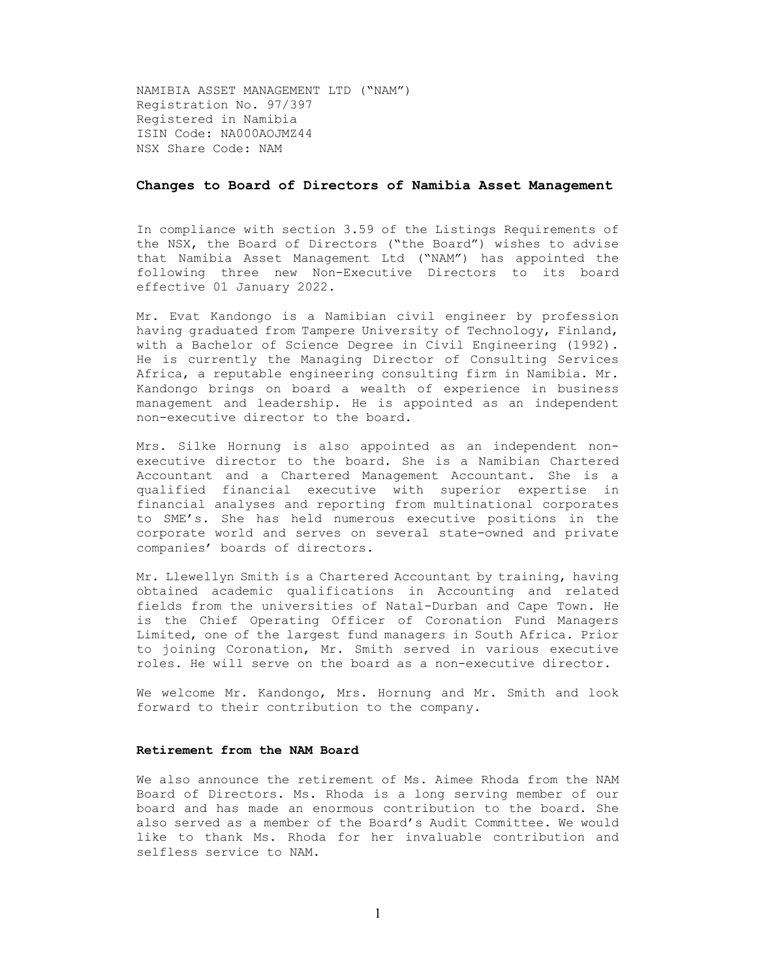NAMIBIA ASSET MANAGEMENT LTD ("NAM") Registration No. 97/397 Registered in Namibia ISIN Code: NA000AOJMZ44 NSX Share Code: NAM

## Changes to Board of Directors of Namibia Asset Management

In compliance with section 3.59 of the Listings Requirements of the NSX, the Board of Directors ("the Board") wishes to advise that Namibia Asset Management Ltd ("NAM") has appointed the following three new Non-Executive Directors to its board effective 01 January 2022.

Mr. Evat Kandongo is a Namibian civil engineer by profession having graduated from Tampere University of Technology, Finland, with a Bachelor of Science Degree in Civil Engineering (1992). He is currently the Managing Director of Consulting Services Africa, a reputable engineering consulting firm in Namibia. Mr. Kandongo brings on board a wealth of experience in business management and leadership. He is appointed as an independent non-executive director to the board.

Mrs. Silke Hornung is also appointed as an independent nonexecutive director to the board. She is a Namibian Chartered Accountant and a Chartered Management Accountant. She is a qualified financial executive with superior expertise in financial analyses and reporting from multinational corporates to SME's. She has held numerous executive positions in the corporate world and serves on several state-owned and private companies' boards of directors.

Mr. Llewellyn Smith is a Chartered Accountant by training, having obtained academic qualifications in Accounting and related fields from the universities of Natal-Durban and Cape Town. He is the Chief Operating Officer of Coronation Fund Managers Limited, one of the largest fund managers in South Africa. Prior to joining Coronation, Mr. Smith served in various executive roles. He will serve on the board as a non-executive director.

We welcome Mr. Kandongo, Mrs. Hornung and Mr. Smith and look forward to their contribution to the company.

## Retirement from the NAM Board

We also announce the retirement of Ms. Aimee Rhoda from the NAM Board of Directors. Ms. Rhoda is a long serving member of our board and has made an enormous contribution to the board. She also served as a member of the Board's Audit Committee. We would like to thank Ms. Rhoda for her invaluable contribution and selfless service to NAM.